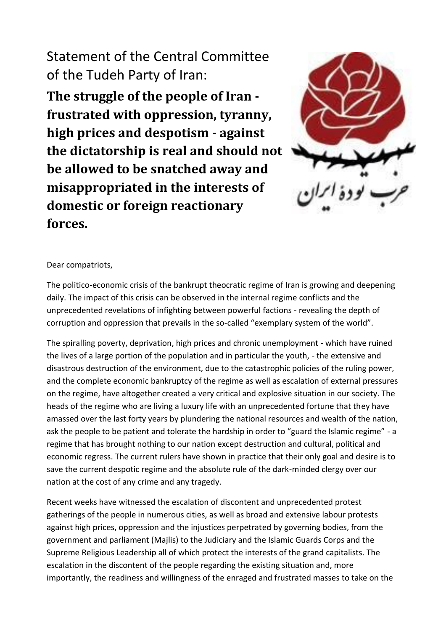# Statement of the Central Committee of the Tudeh Party of Iran:

**The struggle of the people of Iran frustrated with oppression, tyranny, high prices and despotism - against the dictatorship is real and should not be allowed to be snatched away and misappropriated in the interests of domestic or foreign reactionary forces.**



# Dear compatriots,

The politico-economic crisis of the bankrupt theocratic regime of Iran is growing and deepening daily. The impact of this crisis can be observed in the internal regime conflicts and the unprecedented revelations of infighting between powerful factions - revealing the depth of corruption and oppression that prevails in the so-called "exemplary system of the world".

The spiralling poverty, deprivation, high prices and chronic unemployment - which have ruined the lives of a large portion of the population and in particular the youth, - the extensive and disastrous destruction of the environment, due to the catastrophic policies of the ruling power, and the complete economic bankruptcy of the regime as well as escalation of external pressures on the regime, have altogether created a very critical and explosive situation in our society. The heads of the regime who are living a luxury life with an unprecedented fortune that they have amassed over the last forty years by plundering the national resources and wealth of the nation, ask the people to be patient and tolerate the hardship in order to "guard the Islamic regime" - a regime that has brought nothing to our nation except destruction and cultural, political and economic regress. The current rulers have shown in practice that their only goal and desire is to save the current despotic regime and the absolute rule of the dark-minded clergy over our nation at the cost of any crime and any tragedy.

Recent weeks have witnessed the escalation of discontent and unprecedented protest gatherings of the people in numerous cities, as well as broad and extensive labour protests against high prices, oppression and the injustices perpetrated by governing bodies, from the government and parliament (Majlis) to the Judiciary and the Islamic Guards Corps and the Supreme Religious Leadership all of which protect the interests of the grand capitalists. The escalation in the discontent of the people regarding the existing situation and, more importantly, the readiness and willingness of the enraged and frustrated masses to take on the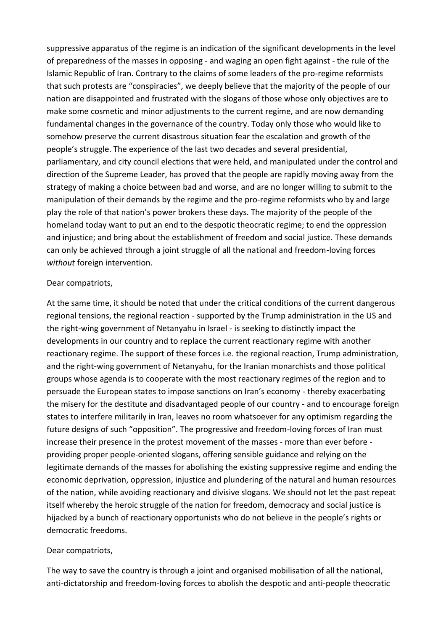suppressive apparatus of the regime is an indication of the significant developments in the level of preparedness of the masses in opposing - and waging an open fight against - the rule of the Islamic Republic of Iran. Contrary to the claims of some leaders of the pro-regime reformists that such protests are "conspiracies", we deeply believe that the majority of the people of our nation are disappointed and frustrated with the slogans of those whose only objectives are to make some cosmetic and minor adjustments to the current regime, and are now demanding fundamental changes in the governance of the country. Today only those who would like to somehow preserve the current disastrous situation fear the escalation and growth of the people's struggle. The experience of the last two decades and several presidential, parliamentary, and city council elections that were held, and manipulated under the control and direction of the Supreme Leader, has proved that the people are rapidly moving away from the strategy of making a choice between bad and worse, and are no longer willing to submit to the manipulation of their demands by the regime and the pro-regime reformists who by and large play the role of that nation's power brokers these days. The majority of the people of the homeland today want to put an end to the despotic theocratic regime; to end the oppression and injustice; and bring about the establishment of freedom and social justice. These demands can only be achieved through a joint struggle of all the national and freedom-loving forces *without* foreign intervention.

#### Dear compatriots,

At the same time, it should be noted that under the critical conditions of the current dangerous regional tensions, the regional reaction - supported by the Trump administration in the US and the right-wing government of Netanyahu in Israel - is seeking to distinctly impact the developments in our country and to replace the current reactionary regime with another reactionary regime. The support of these forces i.e. the regional reaction, Trump administration, and the right-wing government of Netanyahu, for the Iranian monarchists and those political groups whose agenda is to cooperate with the most reactionary regimes of the region and to persuade the European states to impose sanctions on Iran's economy - thereby exacerbating the misery for the destitute and disadvantaged people of our country - and to encourage foreign states to interfere militarily in Iran, leaves no room whatsoever for any optimism regarding the future designs of such "opposition". The progressive and freedom-loving forces of Iran must increase their presence in the protest movement of the masses - more than ever before providing proper people-oriented slogans, offering sensible guidance and relying on the legitimate demands of the masses for abolishing the existing suppressive regime and ending the economic deprivation, oppression, injustice and plundering of the natural and human resources of the nation, while avoiding reactionary and divisive slogans. We should not let the past repeat itself whereby the heroic struggle of the nation for freedom, democracy and social justice is hijacked by a bunch of reactionary opportunists who do not believe in the people's rights or democratic freedoms.

### Dear compatriots,

The way to save the country is through a joint and organised mobilisation of all the national, anti-dictatorship and freedom-loving forces to abolish the despotic and anti-people theocratic